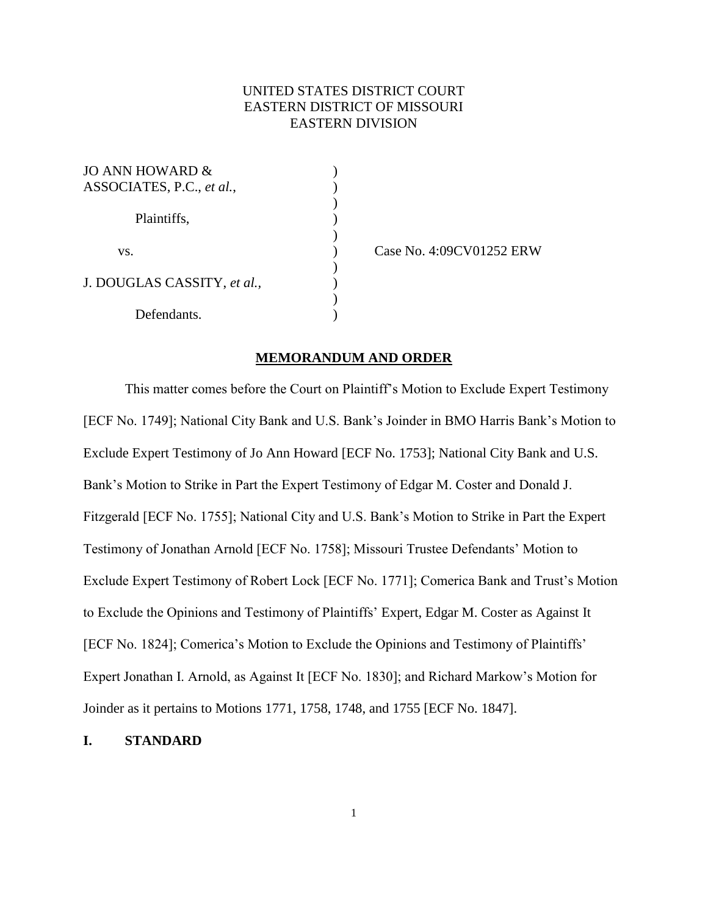# UNITED STATES DISTRICT COURT EASTERN DISTRICT OF MISSOURI EASTERN DIVISION

)

)

)

| JO ANN HOWARD &<br>ASSOCIATES, P.C., et al., |  |
|----------------------------------------------|--|
| Plaintiffs,                                  |  |
| VS.                                          |  |
| J. DOUGLAS CASSITY, et al.,                  |  |
| Defendants.                                  |  |

) Case No. 4:09CV01252 ERW

### **MEMORANDUM AND ORDER**

This matter comes before the Court on Plaintiff's Motion to Exclude Expert Testimony [ECF No. 1749]; National City Bank and U.S. Bank's Joinder in BMO Harris Bank's Motion to Exclude Expert Testimony of Jo Ann Howard [ECF No. 1753]; National City Bank and U.S. Bank's Motion to Strike in Part the Expert Testimony of Edgar M. Coster and Donald J. Fitzgerald [ECF No. 1755]; National City and U.S. Bank's Motion to Strike in Part the Expert Testimony of Jonathan Arnold [ECF No. 1758]; Missouri Trustee Defendants' Motion to Exclude Expert Testimony of Robert Lock [ECF No. 1771]; Comerica Bank and Trust's Motion to Exclude the Opinions and Testimony of Plaintiffs' Expert, Edgar M. Coster as Against It [ECF No. 1824]; Comerica's Motion to Exclude the Opinions and Testimony of Plaintiffs' Expert Jonathan I. Arnold, as Against It [ECF No. 1830]; and Richard Markow's Motion for Joinder as it pertains to Motions 1771, 1758, 1748, and 1755 [ECF No. 1847].

### **I. STANDARD**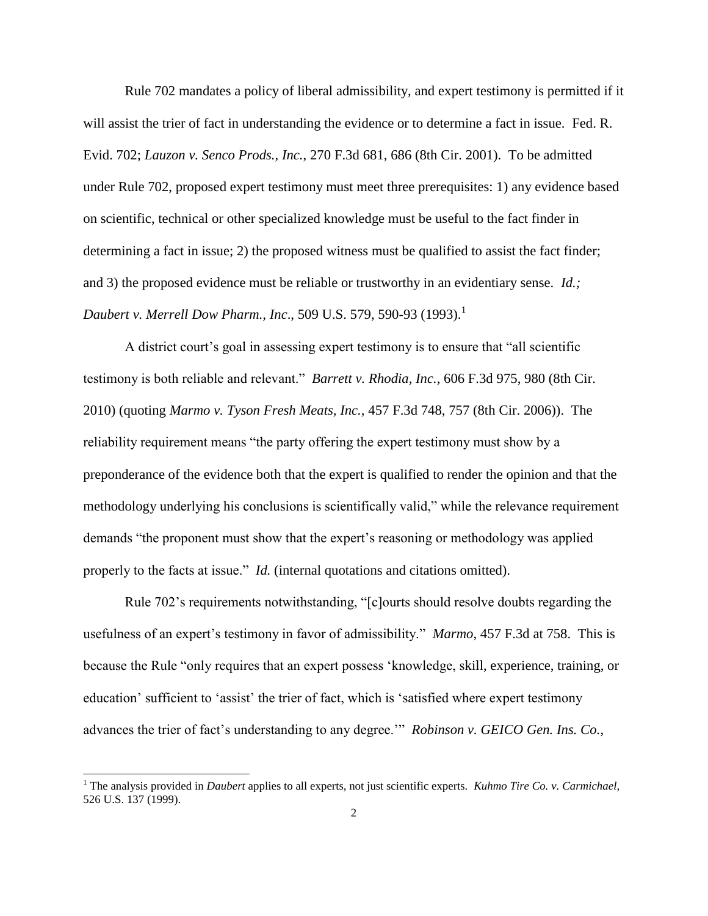Rule 702 mandates a policy of liberal admissibility, and expert testimony is permitted if it will assist the trier of fact in understanding the evidence or to determine a fact in issue. Fed. R. Evid. 702; *Lauzon v. Senco Prods., Inc.*, 270 F.3d 681, 686 (8th Cir. 2001). To be admitted under Rule 702, proposed expert testimony must meet three prerequisites: 1) any evidence based on scientific, technical or other specialized knowledge must be useful to the fact finder in determining a fact in issue; 2) the proposed witness must be qualified to assist the fact finder; and 3) the proposed evidence must be reliable or trustworthy in an evidentiary sense. *Id.; Daubert v. Merrell Dow Pharm., Inc., 509 U.S. 579, 590-93 (1993).*<sup>1</sup>

A district court's goal in assessing expert testimony is to ensure that "all scientific testimony is both reliable and relevant." *Barrett v. Rhodia, Inc.*, 606 F.3d 975, 980 (8th Cir. 2010) (quoting *Marmo v. Tyson Fresh Meats, Inc.*, 457 F.3d 748, 757 (8th Cir. 2006)). The reliability requirement means "the party offering the expert testimony must show by a preponderance of the evidence both that the expert is qualified to render the opinion and that the methodology underlying his conclusions is scientifically valid," while the relevance requirement demands "the proponent must show that the expert's reasoning or methodology was applied properly to the facts at issue." *Id.* (internal quotations and citations omitted).

Rule 702's requirements notwithstanding, "[c]ourts should resolve doubts regarding the usefulness of an expert's testimony in favor of admissibility." *Marmo*, 457 F.3d at 758. This is because the Rule "only requires that an expert possess 'knowledge, skill, experience, training, or education' sufficient to 'assist' the trier of fact, which is 'satisfied where expert testimony advances the trier of fact's understanding to any degree.'" *Robinson v. GEICO Gen. Ins. Co.*,

 $\overline{a}$ 

<sup>&</sup>lt;sup>1</sup> The analysis provided in *Daubert* applies to all experts, not just scientific experts. *Kuhmo Tire Co. v. Carmichael*, 526 U.S. 137 (1999).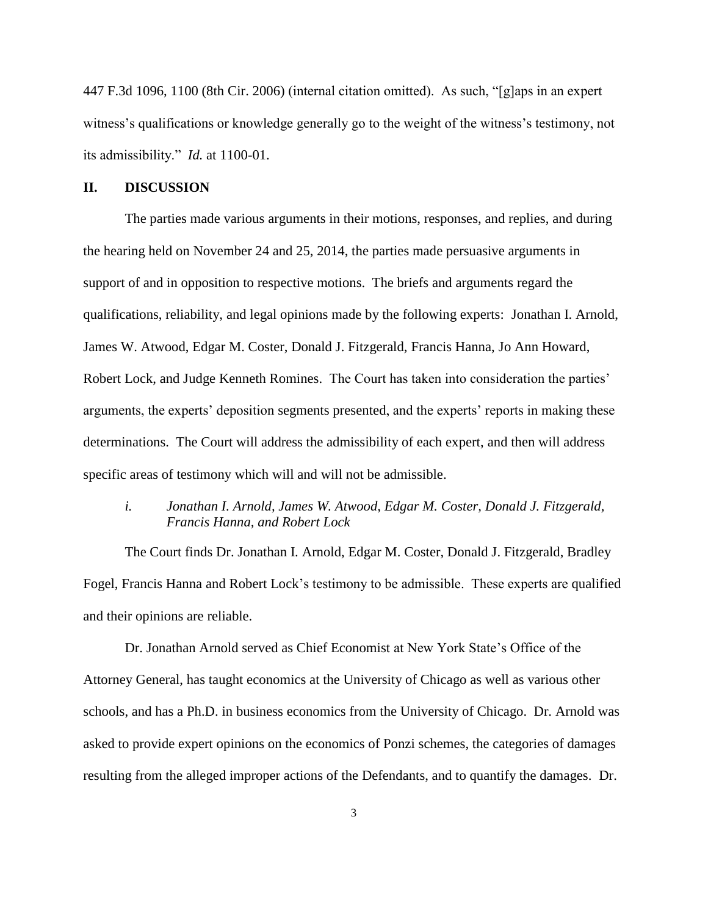447 F.3d 1096, 1100 (8th Cir. 2006) (internal citation omitted). As such, "[g]aps in an expert witness's qualifications or knowledge generally go to the weight of the witness's testimony, not its admissibility." *Id.* at 1100-01.

### **II. DISCUSSION**

The parties made various arguments in their motions, responses, and replies, and during the hearing held on November 24 and 25, 2014, the parties made persuasive arguments in support of and in opposition to respective motions. The briefs and arguments regard the qualifications, reliability, and legal opinions made by the following experts: Jonathan I. Arnold, James W. Atwood, Edgar M. Coster, Donald J. Fitzgerald, Francis Hanna, Jo Ann Howard, Robert Lock, and Judge Kenneth Romines. The Court has taken into consideration the parties' arguments, the experts' deposition segments presented, and the experts' reports in making these determinations. The Court will address the admissibility of each expert, and then will address specific areas of testimony which will and will not be admissible.

## *i. Jonathan I. Arnold, James W. Atwood, Edgar M. Coster, Donald J. Fitzgerald, Francis Hanna, and Robert Lock*

The Court finds Dr. Jonathan I. Arnold, Edgar M. Coster, Donald J. Fitzgerald, Bradley Fogel, Francis Hanna and Robert Lock's testimony to be admissible. These experts are qualified and their opinions are reliable.

Dr. Jonathan Arnold served as Chief Economist at New York State's Office of the Attorney General, has taught economics at the University of Chicago as well as various other schools, and has a Ph.D. in business economics from the University of Chicago. Dr. Arnold was asked to provide expert opinions on the economics of Ponzi schemes, the categories of damages resulting from the alleged improper actions of the Defendants, and to quantify the damages. Dr.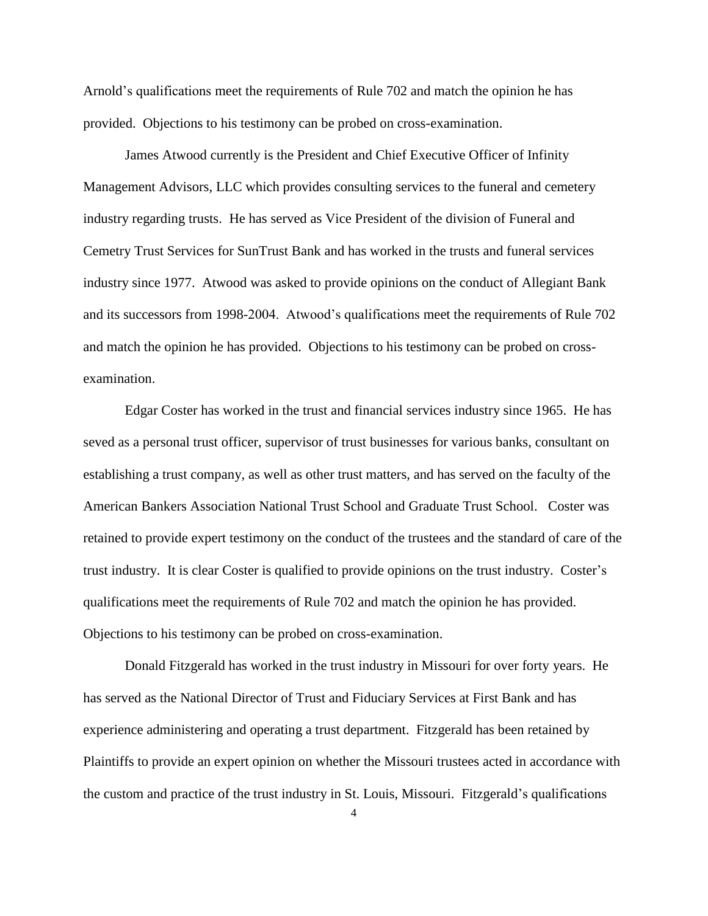Arnold's qualifications meet the requirements of Rule 702 and match the opinion he has provided. Objections to his testimony can be probed on cross-examination.

James Atwood currently is the President and Chief Executive Officer of Infinity Management Advisors, LLC which provides consulting services to the funeral and cemetery industry regarding trusts. He has served as Vice President of the division of Funeral and Cemetry Trust Services for SunTrust Bank and has worked in the trusts and funeral services industry since 1977. Atwood was asked to provide opinions on the conduct of Allegiant Bank and its successors from 1998-2004. Atwood's qualifications meet the requirements of Rule 702 and match the opinion he has provided. Objections to his testimony can be probed on crossexamination.

Edgar Coster has worked in the trust and financial services industry since 1965. He has seved as a personal trust officer, supervisor of trust businesses for various banks, consultant on establishing a trust company, as well as other trust matters, and has served on the faculty of the American Bankers Association National Trust School and Graduate Trust School. Coster was retained to provide expert testimony on the conduct of the trustees and the standard of care of the trust industry. It is clear Coster is qualified to provide opinions on the trust industry. Coster's qualifications meet the requirements of Rule 702 and match the opinion he has provided. Objections to his testimony can be probed on cross-examination.

Donald Fitzgerald has worked in the trust industry in Missouri for over forty years. He has served as the National Director of Trust and Fiduciary Services at First Bank and has experience administering and operating a trust department. Fitzgerald has been retained by Plaintiffs to provide an expert opinion on whether the Missouri trustees acted in accordance with the custom and practice of the trust industry in St. Louis, Missouri. Fitzgerald's qualifications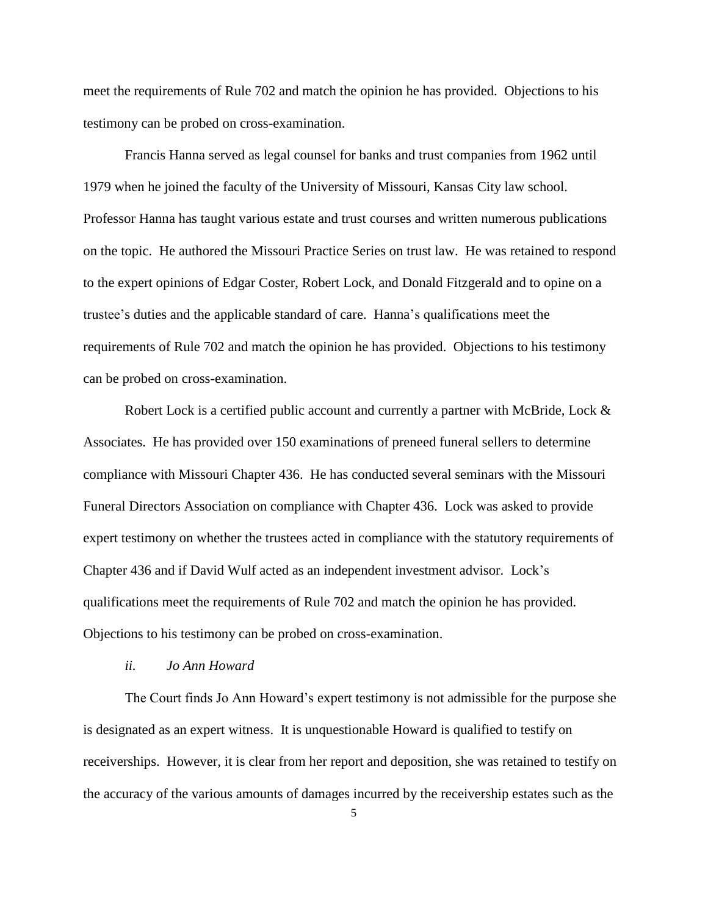meet the requirements of Rule 702 and match the opinion he has provided. Objections to his testimony can be probed on cross-examination.

Francis Hanna served as legal counsel for banks and trust companies from 1962 until 1979 when he joined the faculty of the University of Missouri, Kansas City law school. Professor Hanna has taught various estate and trust courses and written numerous publications on the topic. He authored the Missouri Practice Series on trust law. He was retained to respond to the expert opinions of Edgar Coster, Robert Lock, and Donald Fitzgerald and to opine on a trustee's duties and the applicable standard of care. Hanna's qualifications meet the requirements of Rule 702 and match the opinion he has provided. Objections to his testimony can be probed on cross-examination.

Robert Lock is a certified public account and currently a partner with McBride, Lock & Associates. He has provided over 150 examinations of preneed funeral sellers to determine compliance with Missouri Chapter 436. He has conducted several seminars with the Missouri Funeral Directors Association on compliance with Chapter 436. Lock was asked to provide expert testimony on whether the trustees acted in compliance with the statutory requirements of Chapter 436 and if David Wulf acted as an independent investment advisor. Lock's qualifications meet the requirements of Rule 702 and match the opinion he has provided. Objections to his testimony can be probed on cross-examination.

#### *ii. Jo Ann Howard*

The Court finds Jo Ann Howard's expert testimony is not admissible for the purpose she is designated as an expert witness. It is unquestionable Howard is qualified to testify on receiverships. However, it is clear from her report and deposition, she was retained to testify on the accuracy of the various amounts of damages incurred by the receivership estates such as the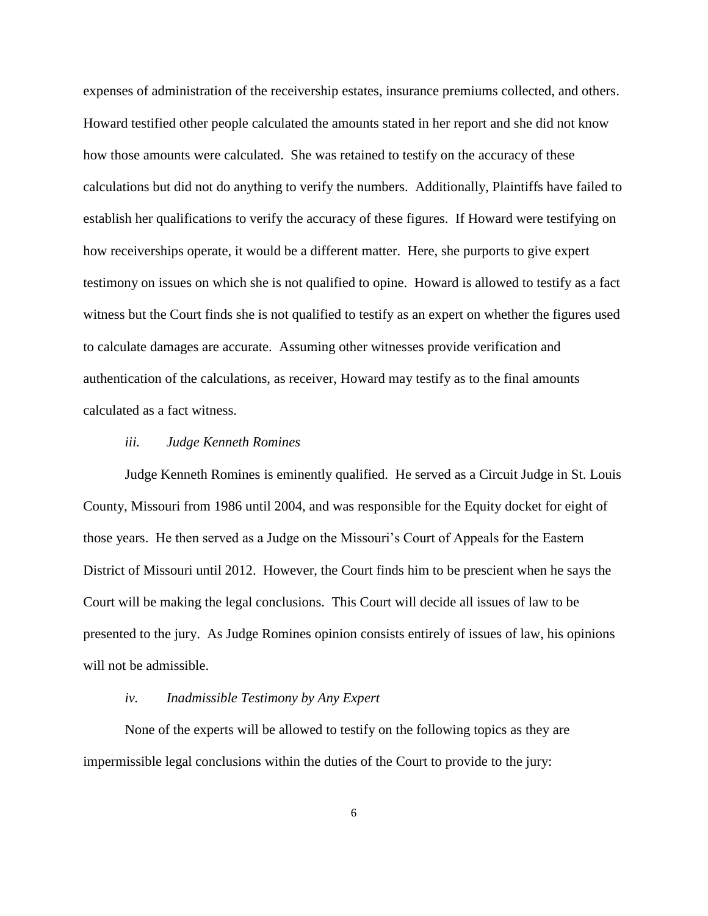expenses of administration of the receivership estates, insurance premiums collected, and others. Howard testified other people calculated the amounts stated in her report and she did not know how those amounts were calculated. She was retained to testify on the accuracy of these calculations but did not do anything to verify the numbers. Additionally, Plaintiffs have failed to establish her qualifications to verify the accuracy of these figures. If Howard were testifying on how receiverships operate, it would be a different matter. Here, she purports to give expert testimony on issues on which she is not qualified to opine. Howard is allowed to testify as a fact witness but the Court finds she is not qualified to testify as an expert on whether the figures used to calculate damages are accurate. Assuming other witnesses provide verification and authentication of the calculations, as receiver, Howard may testify as to the final amounts calculated as a fact witness.

#### *iii. Judge Kenneth Romines*

Judge Kenneth Romines is eminently qualified. He served as a Circuit Judge in St. Louis County, Missouri from 1986 until 2004, and was responsible for the Equity docket for eight of those years. He then served as a Judge on the Missouri's Court of Appeals for the Eastern District of Missouri until 2012. However, the Court finds him to be prescient when he says the Court will be making the legal conclusions. This Court will decide all issues of law to be presented to the jury. As Judge Romines opinion consists entirely of issues of law, his opinions will not be admissible.

### *iv. Inadmissible Testimony by Any Expert*

None of the experts will be allowed to testify on the following topics as they are impermissible legal conclusions within the duties of the Court to provide to the jury: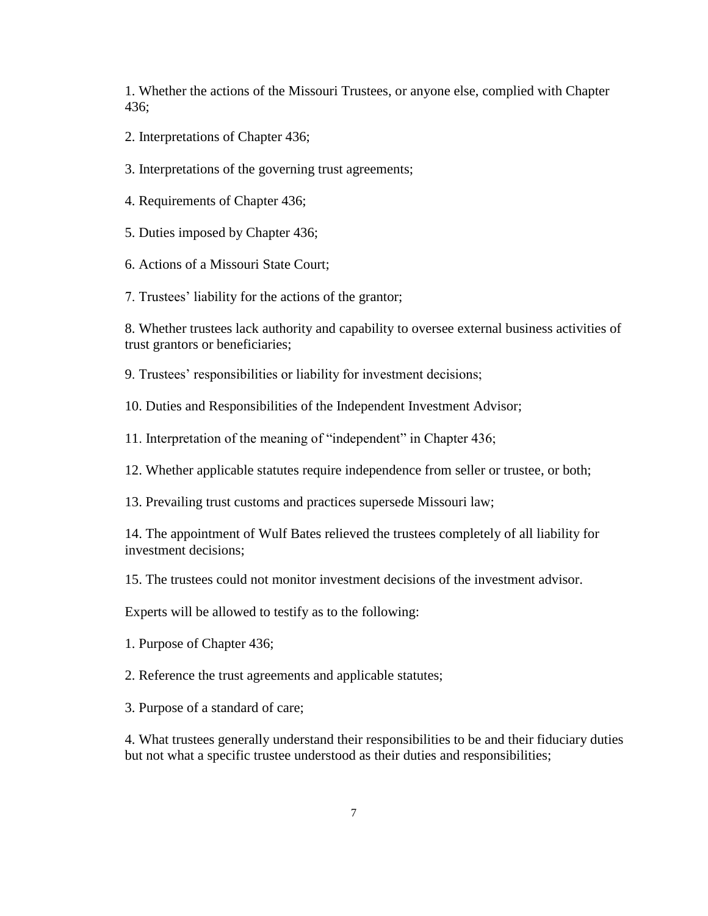1. Whether the actions of the Missouri Trustees, or anyone else, complied with Chapter 436;

- 2. Interpretations of Chapter 436;
- 3. Interpretations of the governing trust agreements;
- 4. Requirements of Chapter 436;
- 5. Duties imposed by Chapter 436;
- 6. Actions of a Missouri State Court;
- 7. Trustees' liability for the actions of the grantor;

8. Whether trustees lack authority and capability to oversee external business activities of trust grantors or beneficiaries;

9. Trustees' responsibilities or liability for investment decisions;

10. Duties and Responsibilities of the Independent Investment Advisor;

11. Interpretation of the meaning of "independent" in Chapter 436;

12. Whether applicable statutes require independence from seller or trustee, or both;

13. Prevailing trust customs and practices supersede Missouri law;

14. The appointment of Wulf Bates relieved the trustees completely of all liability for investment decisions;

15. The trustees could not monitor investment decisions of the investment advisor.

Experts will be allowed to testify as to the following:

1. Purpose of Chapter 436;

2. Reference the trust agreements and applicable statutes;

3. Purpose of a standard of care;

4. What trustees generally understand their responsibilities to be and their fiduciary duties but not what a specific trustee understood as their duties and responsibilities;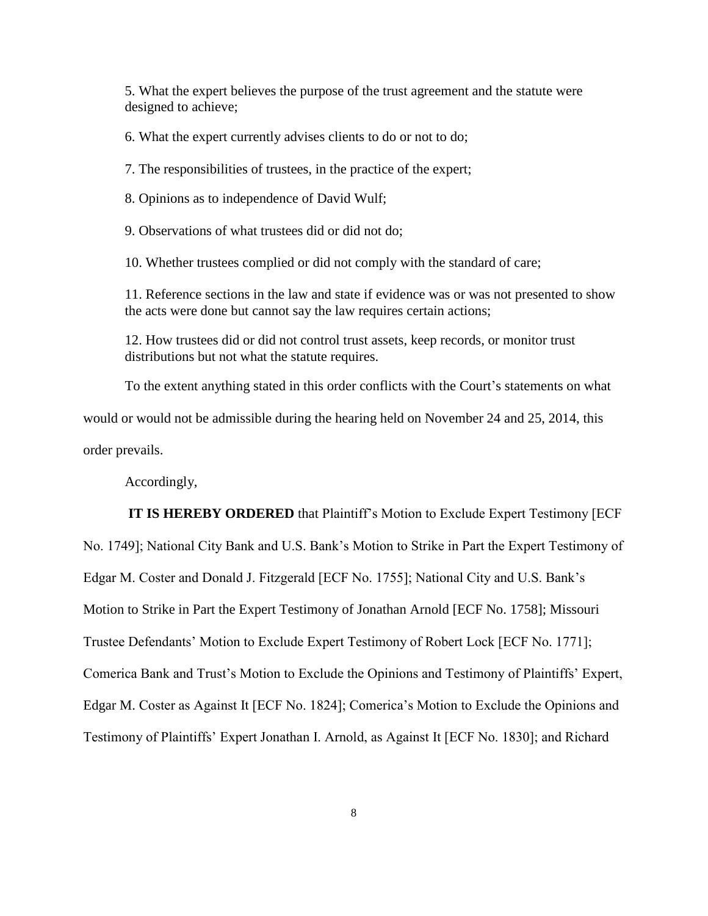5. What the expert believes the purpose of the trust agreement and the statute were designed to achieve;

6. What the expert currently advises clients to do or not to do;

7. The responsibilities of trustees, in the practice of the expert;

8. Opinions as to independence of David Wulf;

9. Observations of what trustees did or did not do;

10. Whether trustees complied or did not comply with the standard of care;

11. Reference sections in the law and state if evidence was or was not presented to show the acts were done but cannot say the law requires certain actions;

12. How trustees did or did not control trust assets, keep records, or monitor trust distributions but not what the statute requires.

To the extent anything stated in this order conflicts with the Court's statements on what would or would not be admissible during the hearing held on November 24 and 25, 2014, this order prevails.

Accordingly,

**IT IS HEREBY ORDERED** that Plaintiff's Motion to Exclude Expert Testimony [ECF No. 1749]; National City Bank and U.S. Bank's Motion to Strike in Part the Expert Testimony of Edgar M. Coster and Donald J. Fitzgerald [ECF No. 1755]; National City and U.S. Bank's Motion to Strike in Part the Expert Testimony of Jonathan Arnold [ECF No. 1758]; Missouri Trustee Defendants' Motion to Exclude Expert Testimony of Robert Lock [ECF No. 1771]; Comerica Bank and Trust's Motion to Exclude the Opinions and Testimony of Plaintiffs' Expert, Edgar M. Coster as Against It [ECF No. 1824]; Comerica's Motion to Exclude the Opinions and Testimony of Plaintiffs' Expert Jonathan I. Arnold, as Against It [ECF No. 1830]; and Richard

8